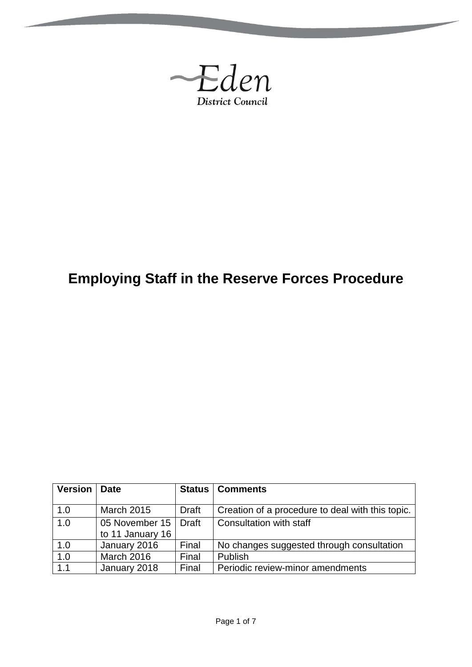

**The Contract of the Contract of the Contract of the Contract of the Contract of The Contract of The Contract of The Contract of The Contract of The Contract of The Contract of The Contract of The Contract of The Contract** 

# **Employing Staff in the Reserve Forces Procedure**

| <b>Version</b> | <b>Date</b>       | <b>Status</b> | <b>Comments</b>                                  |
|----------------|-------------------|---------------|--------------------------------------------------|
|                |                   |               |                                                  |
| 1.0            | <b>March 2015</b> | <b>Draft</b>  | Creation of a procedure to deal with this topic. |
| 1.0            | 05 November 15    | <b>Draft</b>  | Consultation with staff                          |
|                | to 11 January 16  |               |                                                  |
| 1.0            | January 2016      | Final         | No changes suggested through consultation        |
| 1.0            | <b>March 2016</b> | Final         | <b>Publish</b>                                   |
| 1.1            | January 2018      | Final         | Periodic review-minor amendments                 |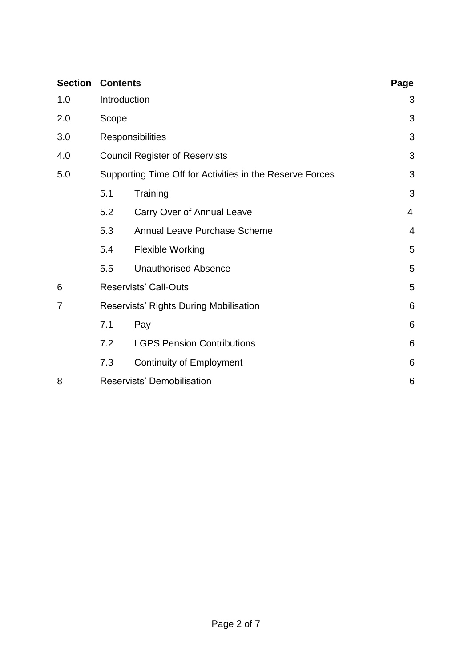| <b>Section</b> | <b>Contents</b>                                          | Page                              |   |
|----------------|----------------------------------------------------------|-----------------------------------|---|
| 1.0            | Introduction                                             | 3                                 |   |
| 2.0            | Scope                                                    | 3                                 |   |
| 3.0            | Responsibilities                                         | 3                                 |   |
| 4.0            | <b>Council Register of Reservists</b>                    | 3                                 |   |
| 5.0            | Supporting Time Off for Activities in the Reserve Forces | 3                                 |   |
|                | 5.1                                                      | Training                          | 3 |
|                | 5.2                                                      | Carry Over of Annual Leave        | 4 |
|                | 5.3                                                      | Annual Leave Purchase Scheme      | 4 |
|                | 5.4                                                      | <b>Flexible Working</b>           | 5 |
|                | 5.5                                                      | <b>Unauthorised Absence</b>       | 5 |
| 6              | Reservists' Call-Outs                                    |                                   | 5 |
| 7              | Reservists' Rights During Mobilisation                   | 6                                 |   |
|                | 7.1                                                      | Pay                               | 6 |
|                | 7.2                                                      | <b>LGPS Pension Contributions</b> | 6 |
|                | 7.3                                                      | <b>Continuity of Employment</b>   | 6 |
| 8              | <b>Reservists' Demobilisation</b>                        |                                   |   |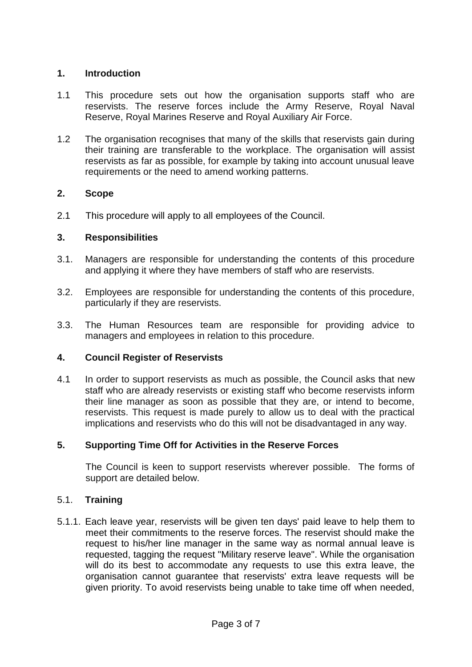## **1. Introduction**

- 1.1 This procedure sets out how the organisation supports staff who are reservists. The reserve forces include the Army Reserve, Royal Naval Reserve, Royal Marines Reserve and Royal Auxiliary Air Force.
- 1.2 The organisation recognises that many of the skills that reservists gain during their training are transferable to the workplace. The organisation will assist reservists as far as possible, for example by taking into account unusual leave requirements or the need to amend working patterns.

#### **2. Scope**

2.1 This procedure will apply to all employees of the Council.

## **3. Responsibilities**

- 3.1. Managers are responsible for understanding the contents of this procedure and applying it where they have members of staff who are reservists.
- 3.2. Employees are responsible for understanding the contents of this procedure, particularly if they are reservists.
- 3.3. The Human Resources team are responsible for providing advice to managers and employees in relation to this procedure.

#### **4. Council Register of Reservists**

4.1 In order to support reservists as much as possible, the Council asks that new staff who are already reservists or existing staff who become reservists inform their line manager as soon as possible that they are, or intend to become, reservists. This request is made purely to allow us to deal with the practical implications and reservists who do this will not be disadvantaged in any way.

# **5. Supporting Time Off for Activities in the Reserve Forces**

The Council is keen to support reservists wherever possible. The forms of support are detailed below.

#### 5.1. **Training**

5.1.1. Each leave year, reservists will be given ten days' paid leave to help them to meet their commitments to the reserve forces. The reservist should make the request to his/her line manager in the same way as normal annual leave is requested, tagging the request "Military reserve leave". While the organisation will do its best to accommodate any requests to use this extra leave, the organisation cannot guarantee that reservists' extra leave requests will be given priority. To avoid reservists being unable to take time off when needed,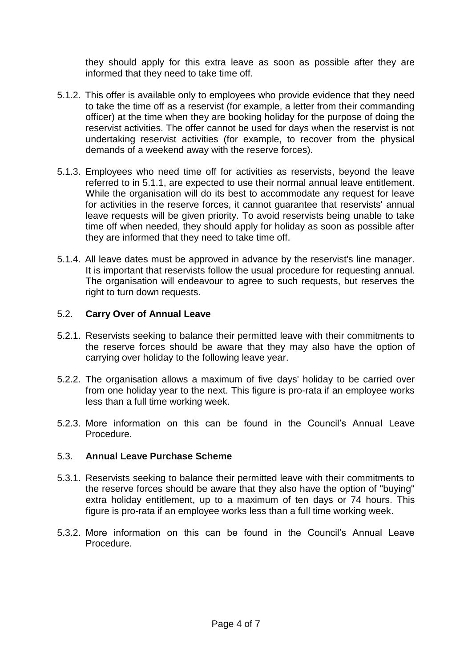they should apply for this extra leave as soon as possible after they are informed that they need to take time off.

- 5.1.2. This offer is available only to employees who provide evidence that they need to take the time off as a reservist (for example, a letter from their commanding officer) at the time when they are booking holiday for the purpose of doing the reservist activities. The offer cannot be used for days when the reservist is not undertaking reservist activities (for example, to recover from the physical demands of a weekend away with the reserve forces).
- 5.1.3. Employees who need time off for activities as reservists, beyond the leave referred to in 5.1.1, are expected to use their normal annual leave entitlement. While the organisation will do its best to accommodate any request for leave for activities in the reserve forces, it cannot guarantee that reservists' annual leave requests will be given priority. To avoid reservists being unable to take time off when needed, they should apply for holiday as soon as possible after they are informed that they need to take time off.
- 5.1.4. All leave dates must be approved in advance by the reservist's line manager. It is important that reservists follow the usual procedure for requesting annual. The organisation will endeavour to agree to such requests, but reserves the right to turn down requests.

# 5.2. **Carry Over of Annual Leave**

- 5.2.1. Reservists seeking to balance their permitted leave with their commitments to the reserve forces should be aware that they may also have the option of carrying over holiday to the following leave year.
- 5.2.2. The organisation allows a maximum of five days' holiday to be carried over from one holiday year to the next. This figure is pro-rata if an employee works less than a full time working week.
- 5.2.3. More information on this can be found in the Council's Annual Leave Procedure.

# 5.3. **Annual Leave Purchase Scheme**

- 5.3.1. Reservists seeking to balance their permitted leave with their commitments to the reserve forces should be aware that they also have the option of "buying" extra holiday entitlement, up to a maximum of ten days or 74 hours. This figure is pro-rata if an employee works less than a full time working week.
- 5.3.2. More information on this can be found in the Council's Annual Leave Procedure.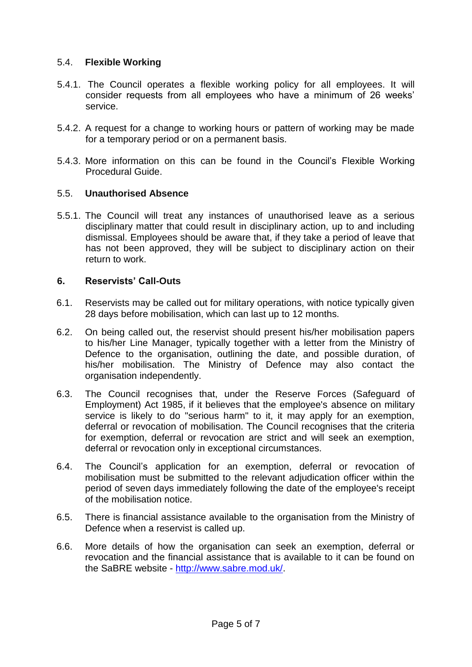# 5.4. **Flexible Working**

- 5.4.1. The Council operates a flexible working policy for all employees. It will consider requests from all employees who have a minimum of 26 weeks' service.
- 5.4.2. A request for a change to working hours or pattern of working may be made for a temporary period or on a permanent basis.
- 5.4.3. More information on this can be found in the Council's Flexible Working Procedural Guide.

#### 5.5. **Unauthorised Absence**

5.5.1. The Council will treat any instances of unauthorised leave as a serious disciplinary matter that could result in disciplinary action, up to and including dismissal. Employees should be aware that, if they take a period of leave that has not been approved, they will be subject to disciplinary action on their return to work.

## **6. Reservists' Call-Outs**

- 6.1. Reservists may be called out for military operations, with notice typically given 28 days before mobilisation, which can last up to 12 months.
- 6.2. On being called out, the reservist should present his/her mobilisation papers to his/her Line Manager, typically together with a letter from the Ministry of Defence to the organisation, outlining the date, and possible duration, of his/her mobilisation. The Ministry of Defence may also contact the organisation independently.
- 6.3. The Council recognises that, under the Reserve Forces (Safeguard of Employment) Act 1985, if it believes that the employee's absence on military service is likely to do "serious harm" to it, it may apply for an exemption, deferral or revocation of mobilisation. The Council recognises that the criteria for exemption, deferral or revocation are strict and will seek an exemption, deferral or revocation only in exceptional circumstances.
- 6.4. The Council's application for an exemption, deferral or revocation of mobilisation must be submitted to the relevant adjudication officer within the period of seven days immediately following the date of the employee's receipt of the mobilisation notice.
- 6.5. There is financial assistance available to the organisation from the Ministry of Defence when a reservist is called up.
- 6.6. More details of how the organisation can seek an exemption, deferral or revocation and the financial assistance that is available to it can be found on the [SaBRE website](http://www.sabre.mod.uk/) - [http://www.sabre.mod.uk/.](http://www.sabre.mod.uk/)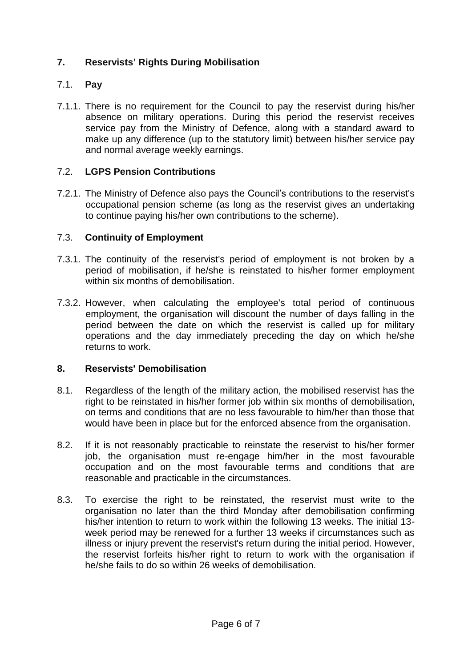# **7. Reservists' Rights During Mobilisation**

# 7.1. **Pay**

7.1.1. There is no requirement for the Council to pay the reservist during his/her absence on military operations. During this period the reservist receives service pay from the Ministry of Defence, along with a standard award to make up any difference (up to the statutory limit) between his/her service pay and normal average weekly earnings.

## 7.2. **LGPS Pension Contributions**

7.2.1. The Ministry of Defence also pays the Council's contributions to the reservist's occupational pension scheme (as long as the reservist gives an undertaking to continue paying his/her own contributions to the scheme).

#### 7.3. **Continuity of Employment**

- 7.3.1. The continuity of the reservist's period of employment is not broken by a period of mobilisation, if he/she is reinstated to his/her former employment within six months of demobilisation.
- 7.3.2. However, when calculating the employee's total period of continuous employment, the organisation will discount the number of days falling in the period between the date on which the reservist is called up for military operations and the day immediately preceding the day on which he/she returns to work.

#### **8. Reservists' Demobilisation**

- 8.1. Regardless of the length of the military action, the mobilised reservist has the right to be reinstated in his/her former job within six months of demobilisation, on terms and conditions that are no less favourable to him/her than those that would have been in place but for the enforced absence from the organisation.
- 8.2. If it is not reasonably practicable to reinstate the reservist to his/her former job, the organisation must re-engage him/her in the most favourable occupation and on the most favourable terms and conditions that are reasonable and practicable in the circumstances.
- 8.3. To exercise the right to be reinstated, the reservist must write to the organisation no later than the third Monday after demobilisation confirming his/her intention to return to work within the following 13 weeks. The initial 13 week period may be renewed for a further 13 weeks if circumstances such as illness or injury prevent the reservist's return during the initial period. However, the reservist forfeits his/her right to return to work with the organisation if he/she fails to do so within 26 weeks of demobilisation.